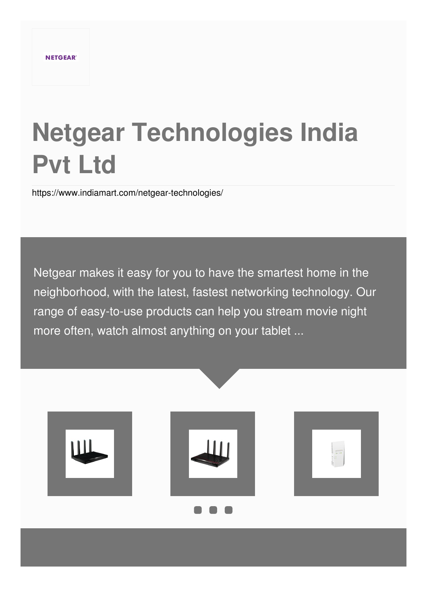# **Netgear Technologies India Pvt Ltd**

<https://www.indiamart.com/netgear-technologies/>

Netgear makes it easy for you to have the smartest home in the neighborhood, with the latest, fastest networking technology. Our range of easy-to-use products can help you stream movie night more often, watch almost anything on your tablet ...

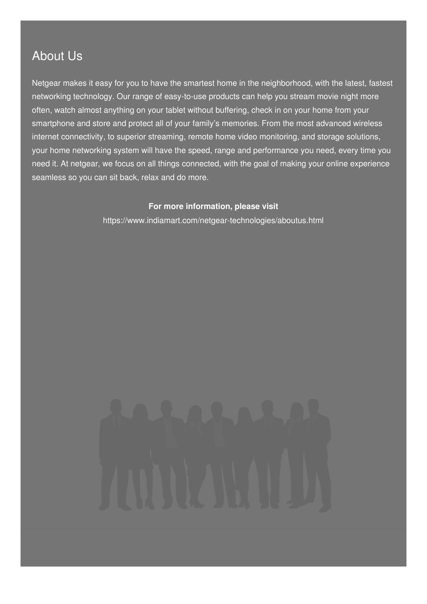## About Us

Netgear makes it easy for you to have the smartest home in the neighborhood, with the latest, fastest networking technology. Our range of easy-to-use products can help you stream movie night more often, watch almost anything on your tablet without buffering, check in on your home from your smartphone and store and protect all of your family's memories. From the most advanced wireless internet connectivity, to superior streaming, remote home video monitoring, and storage solutions, your home networking system will have the speed, range and performance you need, every time you need it. At netgear, we focus on all things connected, with the goal of making your online experience seamless so you can sit back, relax and do more.

#### **For more information, please visit**

<https://www.indiamart.com/netgear-technologies/aboutus.html>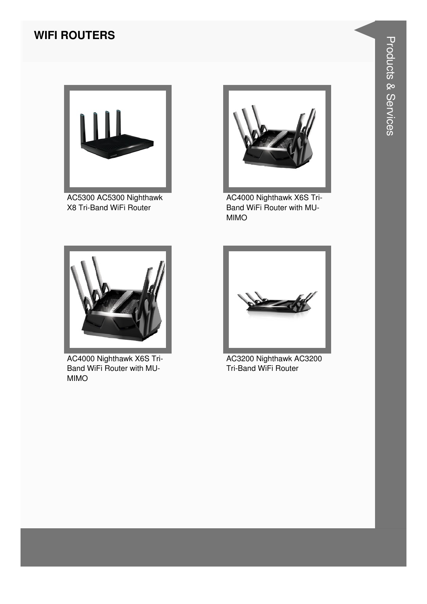#### **WIFI ROUTERS**



AC5300 AC5300 Nighthawk X8 Tri-Band WiFi Router



AC4000 Nighthawk X6S Tri-Band WiFi Router with MU-MIMO



AC4000 Nighthawk X6S Tri-Band WiFi Router with MU-MIMO



AC3200 Nighthawk AC3200 Tri-Band WiFi Router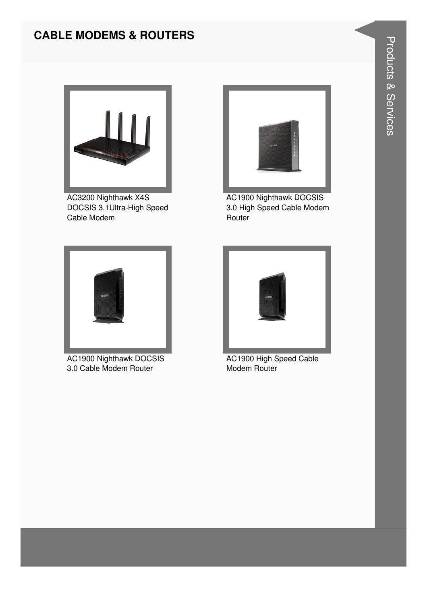### **CABLE MODEMS & ROUTERS**



AC3200 Nighthawk X4S DOCSIS 3.1Ultra-High Speed Cable Modem



**AC1900 Nighthawk DOCSIS** 3.0 High Speed Cable Modem Router



**AC1900 Nighthawk DOCSIS** 3.0 Cable Modem Router



AC1900 High Speed Cable Modem Router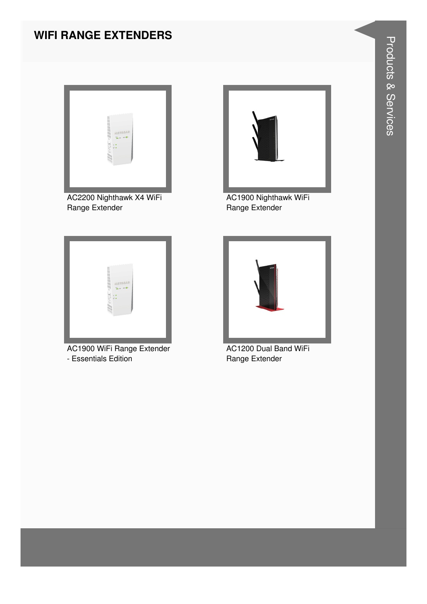#### **WIFI RANGE EXTENDERS**



AC2200 Nighthawk X4 WiFi Range Extender



AC1900 Nighthawk WiFi Range Extender



AC1900 WiFi Range Extender - Essentials Edition



AC1200 Dual Band WiFi Range Extender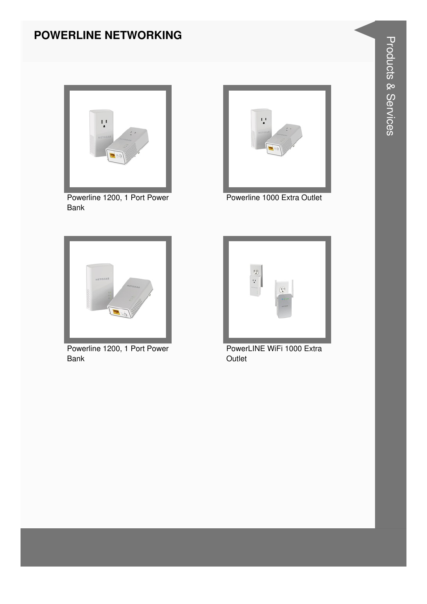#### **POWERLINE NETWORKING**



Powerline 1200, 1 Port Power Bank



Powerline 1000 Extra Outlet



Powerline 1200, 1 Port Power Bank



PowerLINE WiFi 1000 Extra **Outlet**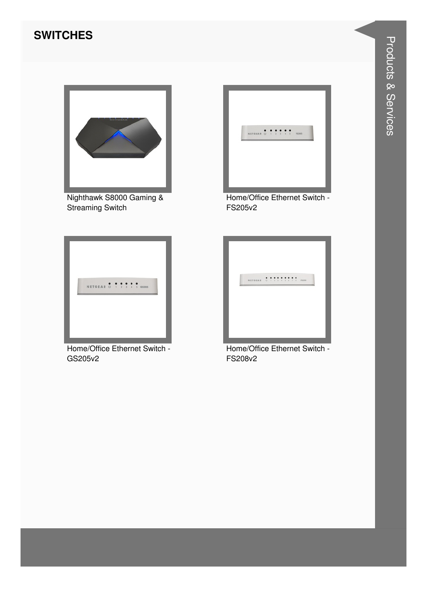#### **SWITCHES**



Nighthawk S8000 Gaming & Streaming Switch



Home/Office Ethernet Switch - FS205v2



Home/Office Ethernet Switch - GS205v2



Home/Office Ethernet Switch - FS208v2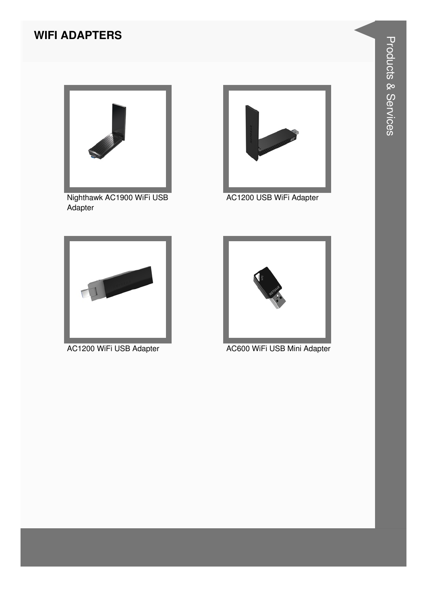#### **WIFI ADAPTERS**



Nighthawk AC1900 WiFi USB Adapter



AC1200 USB WiFi Adapter





AC1200 WiFi USB Adapter AC600 WiFi USB Mini Adapter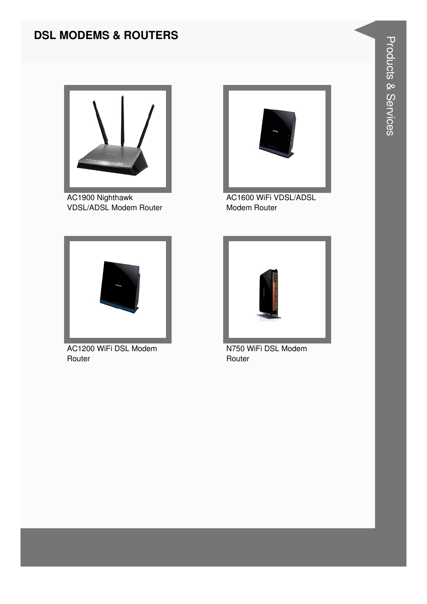#### **DSL MODEMS & ROUTERS**



AC1900 Nighthawk VDSL/ADSL Modem Router



AC1600 WiFi VDSL/ADSL Modem Router



AC1200 WiFi DSL Modem **Router** 



N750 WiFi DSL Modem **Router**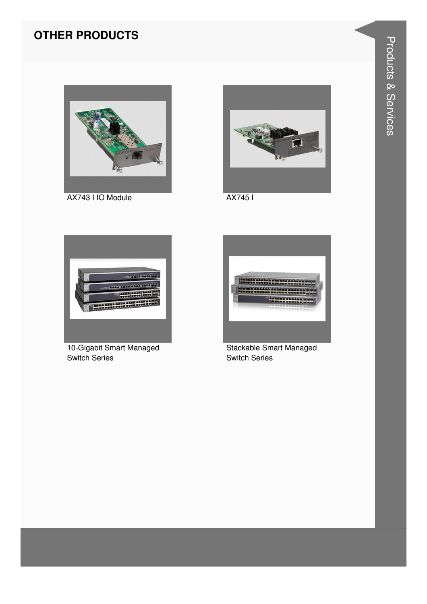#### **OTHER PRODUCTS**



AX743 I IO Module



AX7451



10-Gigabit Smart Managed **Switch Series** 



Stackable Smart Managed **Switch Series**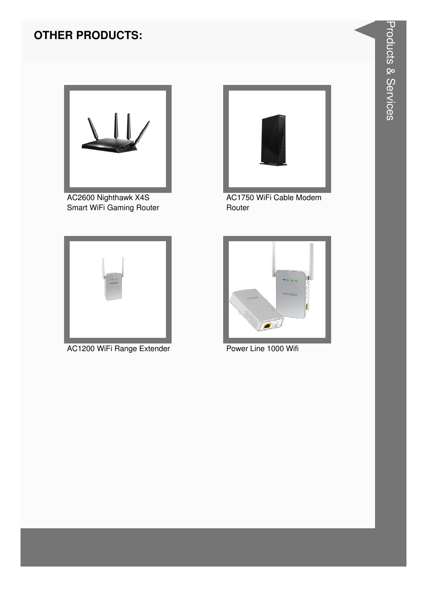#### **OTHER PRODUCTS:**



AC2600 Nighthawk X4S Smart WiFi Gaming Router



AC1200 WiFi Range Extender **Power Line 1000 Wifi** 



AC1750 WiFi Cable Modem Router

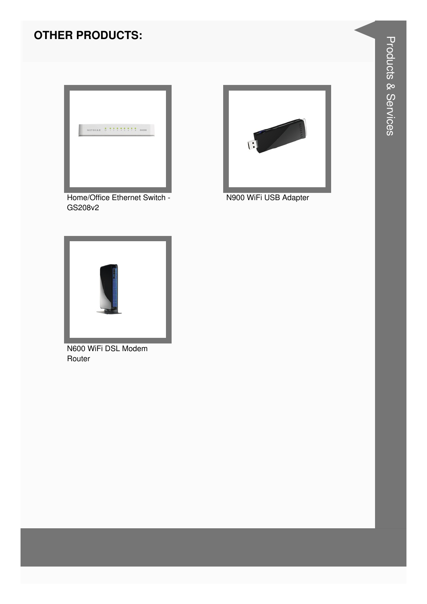#### **OTHER PRODUCTS:**



Home/Office Ethernet Switch -GS208v2



N900 WiFi USB Adapter



N600 WiFi DSL Modem Router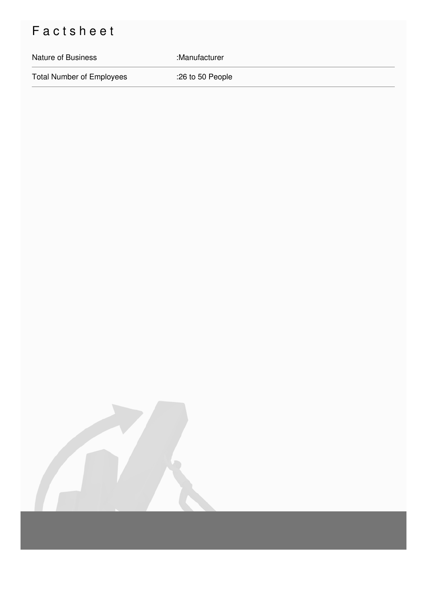# Factsheet

#### Nature of Business : Manufacturer

Total Number of Employees :26 to 50 People